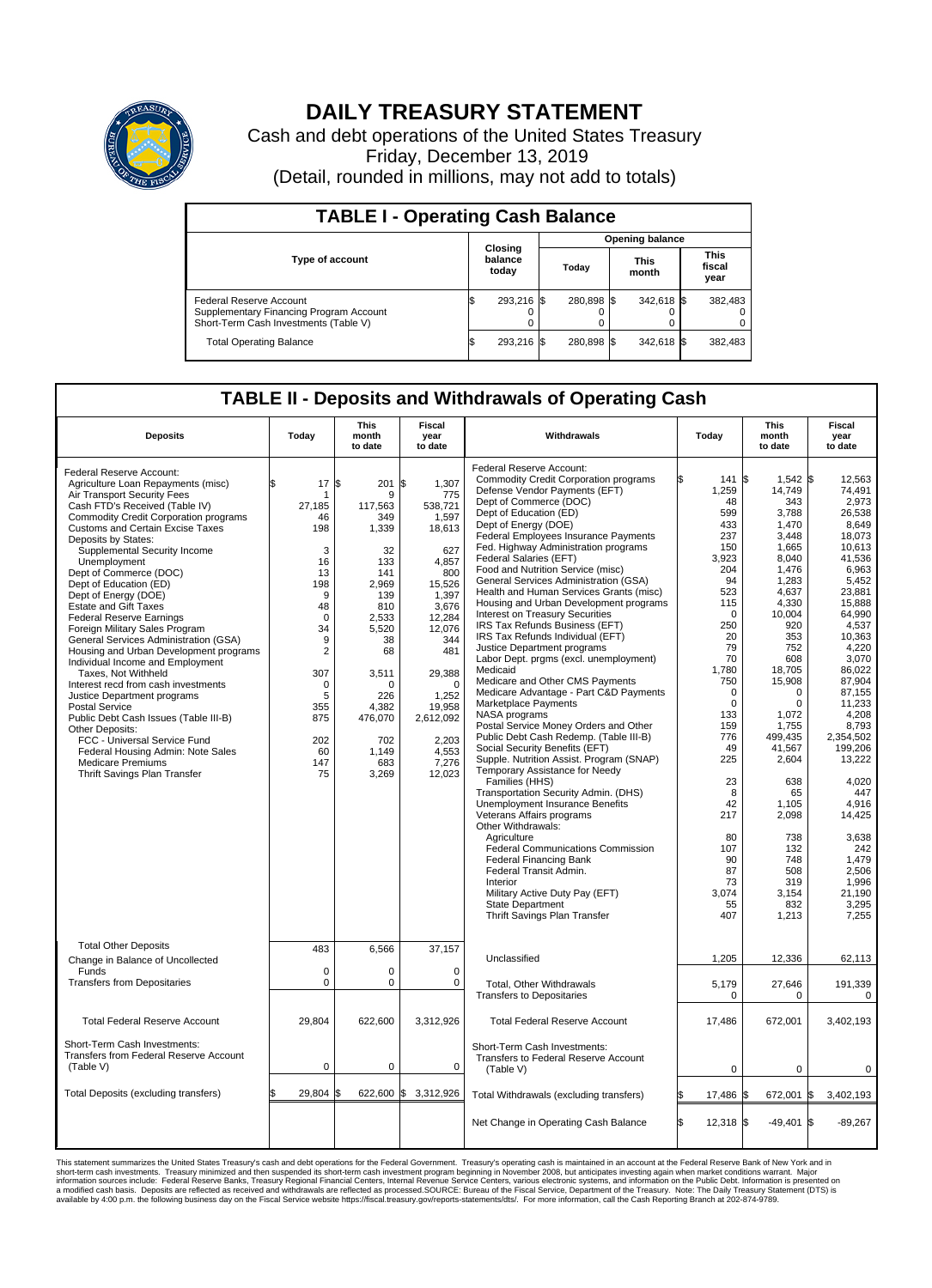

## **DAILY TREASURY STATEMENT**

Cash and debt operations of the United States Treasury Friday, December 13, 2019 (Detail, rounded in millions, may not add to totals)

| <b>TABLE I - Operating Cash Balance</b>                                                                     |     |                             |                        |            |  |                      |  |                               |  |
|-------------------------------------------------------------------------------------------------------------|-----|-----------------------------|------------------------|------------|--|----------------------|--|-------------------------------|--|
|                                                                                                             |     |                             | <b>Opening balance</b> |            |  |                      |  |                               |  |
| <b>Type of account</b>                                                                                      |     | Closing<br>balance<br>today |                        | Today      |  | <b>This</b><br>month |  | <b>This</b><br>fiscal<br>year |  |
| Federal Reserve Account<br>Supplementary Financing Program Account<br>Short-Term Cash Investments (Table V) |     | 293,216 \$                  |                        | 280.898 \$ |  | 342,618 \$           |  | 382,483                       |  |
| <b>Total Operating Balance</b>                                                                              | I\$ | 293,216 \$                  |                        | 280,898 \$ |  | 342,618 \$           |  | 382,483                       |  |

## **TABLE II - Deposits and Withdrawals of Operating Cash**

| <b>Deposits</b>                                                                                                                                                                                                                                                                                                                                                                                                                                                                                                                                                                                                                                                                                                                                                                                                                                                                                                       | Today                                                                                                                                                                               | <b>This</b><br>month<br>to date                                                                                                                                                              | Fiscal<br>year<br>to date                                                                                                                                                                                                              | Withdrawals                                                                                                                                                                                                                                                                                                                                                                                                                                                                                                                                                                                                                                                                                                                                                                                                                                                                                                                                                                                                                                                                                                                                                                                                                                                                                                                                                              | Today                                                                                                                                                                                                                                                                                   | <b>This</b><br>month<br>to date                                                                                                                                                                                                                                                                                                           | <b>Fiscal</b><br>year<br>to date                                                                                                                                                                                                                                                                                                                                      |  |  |
|-----------------------------------------------------------------------------------------------------------------------------------------------------------------------------------------------------------------------------------------------------------------------------------------------------------------------------------------------------------------------------------------------------------------------------------------------------------------------------------------------------------------------------------------------------------------------------------------------------------------------------------------------------------------------------------------------------------------------------------------------------------------------------------------------------------------------------------------------------------------------------------------------------------------------|-------------------------------------------------------------------------------------------------------------------------------------------------------------------------------------|----------------------------------------------------------------------------------------------------------------------------------------------------------------------------------------------|----------------------------------------------------------------------------------------------------------------------------------------------------------------------------------------------------------------------------------------|--------------------------------------------------------------------------------------------------------------------------------------------------------------------------------------------------------------------------------------------------------------------------------------------------------------------------------------------------------------------------------------------------------------------------------------------------------------------------------------------------------------------------------------------------------------------------------------------------------------------------------------------------------------------------------------------------------------------------------------------------------------------------------------------------------------------------------------------------------------------------------------------------------------------------------------------------------------------------------------------------------------------------------------------------------------------------------------------------------------------------------------------------------------------------------------------------------------------------------------------------------------------------------------------------------------------------------------------------------------------------|-----------------------------------------------------------------------------------------------------------------------------------------------------------------------------------------------------------------------------------------------------------------------------------------|-------------------------------------------------------------------------------------------------------------------------------------------------------------------------------------------------------------------------------------------------------------------------------------------------------------------------------------------|-----------------------------------------------------------------------------------------------------------------------------------------------------------------------------------------------------------------------------------------------------------------------------------------------------------------------------------------------------------------------|--|--|
| Federal Reserve Account:<br>Agriculture Loan Repayments (misc)<br>Air Transport Security Fees<br>Cash FTD's Received (Table IV)<br><b>Commodity Credit Corporation programs</b><br><b>Customs and Certain Excise Taxes</b><br>Deposits by States:<br>Supplemental Security Income<br>Unemployment<br>Dept of Commerce (DOC)<br>Dept of Education (ED)<br>Dept of Energy (DOE)<br><b>Estate and Gift Taxes</b><br>Federal Reserve Earnings<br>Foreign Military Sales Program<br>General Services Administration (GSA)<br>Housing and Urban Development programs<br>Individual Income and Employment<br>Taxes. Not Withheld<br>Interest recd from cash investments<br>Justice Department programs<br><b>Postal Service</b><br>Public Debt Cash Issues (Table III-B)<br>Other Deposits:<br>FCC - Universal Service Fund<br>Federal Housing Admin: Note Sales<br><b>Medicare Premiums</b><br>Thrift Savings Plan Transfer | \$.<br>17S<br>27,185<br>46<br>198<br>3<br>16<br>13<br>198<br>9<br>48<br>$\mathbf 0$<br>34<br>9<br>$\overline{2}$<br>307<br>$\mathbf 0$<br>5<br>355<br>875<br>202<br>60<br>147<br>75 | 201<br>9<br>117,563<br>349<br>1,339<br>32<br>133<br>141<br>2.969<br>139<br>810<br>2,533<br>5,520<br>38<br>68<br>3,511<br>$\Omega$<br>226<br>4,382<br>476,070<br>702<br>1,149<br>683<br>3,269 | <b>S</b><br>1.307<br>775<br>538,721<br>1,597<br>18,613<br>627<br>4,857<br>800<br>15,526<br>1,397<br>3,676<br>12,284<br>12,076<br>344<br>481<br>29,388<br>$\Omega$<br>1,252<br>19,958<br>2,612,092<br>2,203<br>4,553<br>7,276<br>12,023 | Federal Reserve Account:<br><b>Commodity Credit Corporation programs</b><br>Defense Vendor Payments (EFT)<br>Dept of Commerce (DOC)<br>Dept of Education (ED)<br>Dept of Energy (DOE)<br>Federal Employees Insurance Payments<br>Fed. Highway Administration programs<br>Federal Salaries (EFT)<br>Food and Nutrition Service (misc)<br>General Services Administration (GSA)<br>Health and Human Services Grants (misc)<br>Housing and Urban Development programs<br>Interest on Treasury Securities<br>IRS Tax Refunds Business (EFT)<br>IRS Tax Refunds Individual (EFT)<br>Justice Department programs<br>Labor Dept. prgms (excl. unemployment)<br>Medicaid<br>Medicare and Other CMS Payments<br>Medicare Advantage - Part C&D Payments<br>Marketplace Payments<br>NASA programs<br>Postal Service Money Orders and Other<br>Public Debt Cash Redemp. (Table III-B)<br>Social Security Benefits (EFT)<br>Supple. Nutrition Assist. Program (SNAP)<br>Temporary Assistance for Needy<br>Families (HHS)<br>Transportation Security Admin. (DHS)<br>Unemployment Insurance Benefits<br>Veterans Affairs programs<br>Other Withdrawals:<br>Agriculture<br><b>Federal Communications Commission</b><br><b>Federal Financing Bank</b><br>Federal Transit Admin.<br>Interior<br>Military Active Duty Pay (EFT)<br><b>State Department</b><br>Thrift Savings Plan Transfer | 141<br>1,259<br>48<br>599<br>433<br>237<br>150<br>3,923<br>204<br>94<br>523<br>115<br>$\mathbf 0$<br>250<br>20<br>79<br>70<br>1,780<br>750<br>$\mathbf 0$<br>$\mathbf 0$<br>133<br>159<br>776<br>49<br>225<br>23<br>8<br>42<br>217<br>80<br>107<br>90<br>87<br>73<br>3,074<br>55<br>407 | $1,542$ \$<br>1\$<br>14,749<br>343<br>3,788<br>1,470<br>3,448<br>1,665<br>8,040<br>1,476<br>1,283<br>4.637<br>4,330<br>10,004<br>920<br>353<br>752<br>608<br>18,705<br>15,908<br>0<br>$\Omega$<br>1,072<br>1,755<br>499,435<br>41,567<br>2,604<br>638<br>65<br>1,105<br>2,098<br>738<br>132<br>748<br>508<br>319<br>3,154<br>832<br>1,213 | 12,563<br>74.491<br>2.973<br>26,538<br>8.649<br>18.073<br>10,613<br>41,536<br>6,963<br>5,452<br>23.881<br>15,888<br>64.990<br>4,537<br>10,363<br>4,220<br>3.070<br>86,022<br>87,904<br>87,155<br>11,233<br>4,208<br>8.793<br>2,354,502<br>199,206<br>13,222<br>4.020<br>447<br>4,916<br>14,425<br>3,638<br>242<br>1,479<br>2,506<br>1,996<br>21,190<br>3,295<br>7,255 |  |  |
| <b>Total Other Deposits</b><br>Change in Balance of Uncollected<br>Funds                                                                                                                                                                                                                                                                                                                                                                                                                                                                                                                                                                                                                                                                                                                                                                                                                                              | 483<br>$\mathbf 0$<br>$\mathbf 0$                                                                                                                                                   | 6,566<br>0<br>$\mathbf 0$                                                                                                                                                                    | 37,157<br>$\mathbf 0$<br>$\mathbf 0$                                                                                                                                                                                                   | Unclassified                                                                                                                                                                                                                                                                                                                                                                                                                                                                                                                                                                                                                                                                                                                                                                                                                                                                                                                                                                                                                                                                                                                                                                                                                                                                                                                                                             | 1,205                                                                                                                                                                                                                                                                                   | 12,336                                                                                                                                                                                                                                                                                                                                    | 62,113                                                                                                                                                                                                                                                                                                                                                                |  |  |
| <b>Transfers from Depositaries</b>                                                                                                                                                                                                                                                                                                                                                                                                                                                                                                                                                                                                                                                                                                                                                                                                                                                                                    |                                                                                                                                                                                     |                                                                                                                                                                                              |                                                                                                                                                                                                                                        | Total, Other Withdrawals<br><b>Transfers to Depositaries</b>                                                                                                                                                                                                                                                                                                                                                                                                                                                                                                                                                                                                                                                                                                                                                                                                                                                                                                                                                                                                                                                                                                                                                                                                                                                                                                             | 5,179<br>$\mathbf 0$                                                                                                                                                                                                                                                                    | 27,646<br>0                                                                                                                                                                                                                                                                                                                               | 191,339<br>0                                                                                                                                                                                                                                                                                                                                                          |  |  |
| <b>Total Federal Reserve Account</b>                                                                                                                                                                                                                                                                                                                                                                                                                                                                                                                                                                                                                                                                                                                                                                                                                                                                                  | 29,804                                                                                                                                                                              | 622,600                                                                                                                                                                                      | 3,312,926                                                                                                                                                                                                                              | <b>Total Federal Reserve Account</b>                                                                                                                                                                                                                                                                                                                                                                                                                                                                                                                                                                                                                                                                                                                                                                                                                                                                                                                                                                                                                                                                                                                                                                                                                                                                                                                                     | 17,486                                                                                                                                                                                                                                                                                  | 672,001                                                                                                                                                                                                                                                                                                                                   | 3,402,193                                                                                                                                                                                                                                                                                                                                                             |  |  |
| Short-Term Cash Investments:<br>Transfers from Federal Reserve Account<br>(Table V)                                                                                                                                                                                                                                                                                                                                                                                                                                                                                                                                                                                                                                                                                                                                                                                                                                   | $\mathbf 0$                                                                                                                                                                         | 0                                                                                                                                                                                            | $\mathbf 0$                                                                                                                                                                                                                            | Short-Term Cash Investments:<br>Transfers to Federal Reserve Account<br>(Table V)                                                                                                                                                                                                                                                                                                                                                                                                                                                                                                                                                                                                                                                                                                                                                                                                                                                                                                                                                                                                                                                                                                                                                                                                                                                                                        | $\pmb{0}$                                                                                                                                                                                                                                                                               | 0                                                                                                                                                                                                                                                                                                                                         | 0                                                                                                                                                                                                                                                                                                                                                                     |  |  |
| Total Deposits (excluding transfers)                                                                                                                                                                                                                                                                                                                                                                                                                                                                                                                                                                                                                                                                                                                                                                                                                                                                                  | 29,804 \$<br>\$                                                                                                                                                                     |                                                                                                                                                                                              | 622,600 \$ 3,312,926                                                                                                                                                                                                                   | Total Withdrawals (excluding transfers)                                                                                                                                                                                                                                                                                                                                                                                                                                                                                                                                                                                                                                                                                                                                                                                                                                                                                                                                                                                                                                                                                                                                                                                                                                                                                                                                  | 17,486 \$                                                                                                                                                                                                                                                                               | 672,001 \$                                                                                                                                                                                                                                                                                                                                | 3,402,193                                                                                                                                                                                                                                                                                                                                                             |  |  |
|                                                                                                                                                                                                                                                                                                                                                                                                                                                                                                                                                                                                                                                                                                                                                                                                                                                                                                                       |                                                                                                                                                                                     |                                                                                                                                                                                              |                                                                                                                                                                                                                                        | Net Change in Operating Cash Balance                                                                                                                                                                                                                                                                                                                                                                                                                                                                                                                                                                                                                                                                                                                                                                                                                                                                                                                                                                                                                                                                                                                                                                                                                                                                                                                                     | S.<br>12,318 \$                                                                                                                                                                                                                                                                         | $-49,401$ \$                                                                                                                                                                                                                                                                                                                              | $-89,267$                                                                                                                                                                                                                                                                                                                                                             |  |  |

This statement summarizes the United States Treasury's cash and debt operations for the Federal Government. Treasury soperating in November 2008, but anticiarded in a cocount at the Federal metaformation sources investment